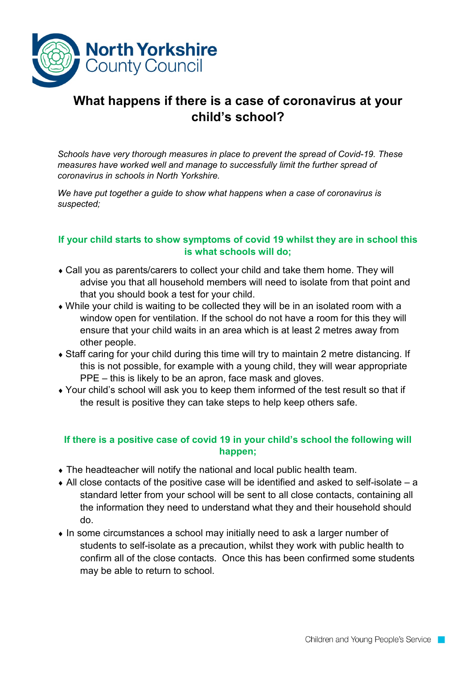

## **What happens if there is a case of coronavirus at your child's school?**

*Schools have very thorough measures in place to prevent the spread of Covid-19. These measures have worked well and manage to successfully limit the further spread of coronavirus in schools in North Yorkshire.*

*We have put together a guide to show what happens when a case of coronavirus is suspected;*

## **If your child starts to show symptoms of covid 19 whilst they are in school this is what schools will do;**

- ♦ Call you as parents/carers to collect your child and take them home. They will advise you that all household members will need to isolate from that point and that you should book a test for your child.
- ♦ While your child is waiting to be collected they will be in an isolated room with a window open for ventilation. If the school do not have a room for this they will ensure that your child waits in an area which is at least 2 metres away from other people.
- ♦ Staff caring for your child during this time will try to maintain 2 metre distancing. If this is not possible, for example with a young child, they will wear appropriate PPE – this is likely to be an apron, face mask and gloves.
- ♦ Your child's school will ask you to keep them informed of the test result so that if the result is positive they can take steps to help keep others safe.

## **If there is a positive case of covid 19 in your child's school the following will happen;**

- ♦ The headteacher will notify the national and local public health team.
- $\bullet$  All close contacts of the positive case will be identified and asked to self-isolate a standard letter from your school will be sent to all close contacts, containing all the information they need to understand what they and their household should do.
- ♦ In some circumstances a school may initially need to ask a larger number of students to self-isolate as a precaution, whilst they work with public health to confirm all of the close contacts. Once this has been confirmed some students may be able to return to school.